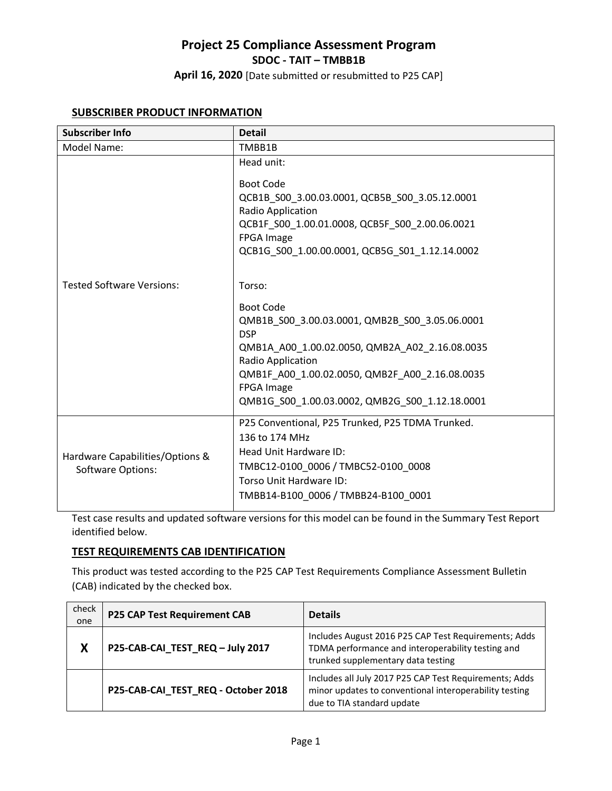**April 16, 2020** [Date submitted or resubmitted to P25 CAP]

#### **SUBSCRIBER PRODUCT INFORMATION**

| <b>Subscriber Info</b>                                      | <b>Detail</b>                                                                    |
|-------------------------------------------------------------|----------------------------------------------------------------------------------|
| Model Name:                                                 | TMBB1B                                                                           |
|                                                             | Head unit:<br><b>Boot Code</b>                                                   |
|                                                             | QCB1B S00 3.00.03.0001, QCB5B S00 3.05.12.0001<br>Radio Application              |
|                                                             | QCB1F S00 1.00.01.0008, QCB5F S00 2.00.06.0021                                   |
|                                                             | FPGA Image<br>QCB1G_S00_1.00.00.0001, QCB5G_S01_1.12.14.0002                     |
| <b>Tested Software Versions:</b>                            | Torso:                                                                           |
|                                                             | <b>Boot Code</b><br>QMB1B S00 3.00.03.0001, QMB2B S00 3.05.06.0001<br><b>DSP</b> |
|                                                             | QMB1A_A00_1.00.02.0050, QMB2A_A02_2.16.08.0035<br>Radio Application              |
|                                                             | QMB1F A00 1.00.02.0050, QMB2F A00 2.16.08.0035<br>FPGA Image                     |
|                                                             | QMB1G_S00_1.00.03.0002, QMB2G_S00_1.12.18.0001                                   |
| Hardware Capabilities/Options &<br><b>Software Options:</b> | P25 Conventional, P25 Trunked, P25 TDMA Trunked.<br>136 to 174 MHz               |
|                                                             | Head Unit Hardware ID:                                                           |
|                                                             | TMBC12-0100 0006 / TMBC52-0100 0008                                              |
|                                                             | Torso Unit Hardware ID:                                                          |
|                                                             | TMBB14-B100 0006 / TMBB24-B100 0001                                              |

Test case results and updated software versions for this model can be found in the Summary Test Report identified below.

#### **TEST REQUIREMENTS CAB IDENTIFICATION**

This product was tested according to the P25 CAP Test Requirements Compliance Assessment Bulletin (CAB) indicated by the checked box.

| check<br>one | <b>P25 CAP Test Requirement CAB</b> | <b>Details</b>                                                                                                                                  |
|--------------|-------------------------------------|-------------------------------------------------------------------------------------------------------------------------------------------------|
| X            | P25-CAB-CAI_TEST_REQ - July 2017    | Includes August 2016 P25 CAP Test Requirements; Adds<br>TDMA performance and interoperability testing and<br>trunked supplementary data testing |
|              | P25-CAB-CAI_TEST_REQ - October 2018 | Includes all July 2017 P25 CAP Test Requirements; Adds<br>minor updates to conventional interoperability testing<br>due to TIA standard update  |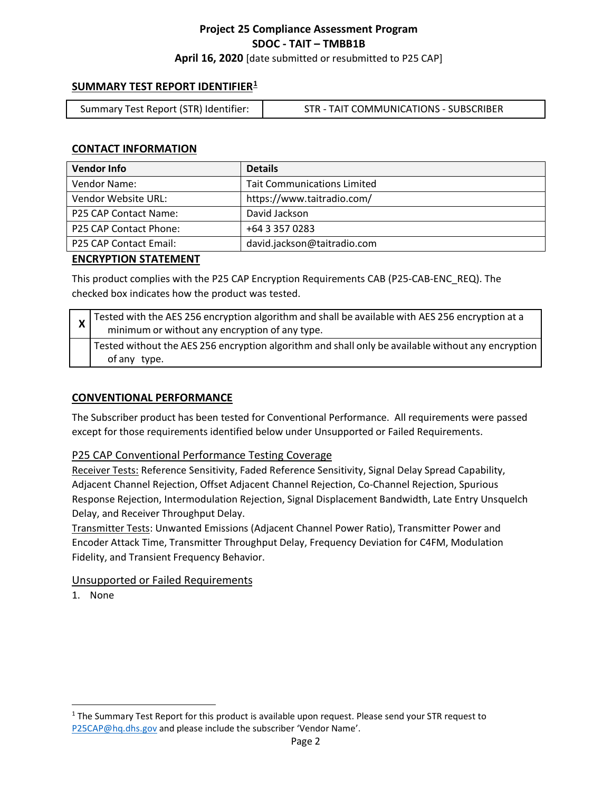**April 16, 2020** [date submitted or resubmitted to P25 CAP]

# **SUMMARY TEST REPORT IDENTIFIER[1](#page-1-0)**

| Summary Test Report (STR) Identifier: | STR - TAIT COMMUNICATIONS - SUBSCRIBER |
|---------------------------------------|----------------------------------------|
|---------------------------------------|----------------------------------------|

### **CONTACT INFORMATION**

| <b>Vendor Info</b>            | <b>Details</b>                     |
|-------------------------------|------------------------------------|
| Vendor Name:                  | <b>Tait Communications Limited</b> |
| Vendor Website URL:           | https://www.taitradio.com/         |
| P25 CAP Contact Name:         | David Jackson                      |
| P25 CAP Contact Phone:        | +64 3 357 0283                     |
| <b>P25 CAP Contact Email:</b> | david.jackson@taitradio.com        |

#### **ENCRYPTION STATEMENT**

This product complies with the P25 CAP Encryption Requirements CAB (P25-CAB-ENC\_REQ). The checked box indicates how the product was tested.

| $\sqrt{ }$ Tested with the AES 256 encryption algorithm and shall be available with AES 256 encryption at a<br>minimum or without any encryption of any type. |
|---------------------------------------------------------------------------------------------------------------------------------------------------------------|
| Tested without the AES 256 encryption algorithm and shall only be available without any encryption<br>of any type.                                            |

# **CONVENTIONAL PERFORMANCE**

The Subscriber product has been tested for Conventional Performance. All requirements were passed except for those requirements identified below under Unsupported or Failed Requirements.

#### P25 CAP Conventional Performance Testing Coverage

Receiver Tests: Reference Sensitivity, Faded Reference Sensitivity, Signal Delay Spread Capability, Adjacent Channel Rejection, Offset Adjacent Channel Rejection, Co-Channel Rejection, Spurious Response Rejection, Intermodulation Rejection, Signal Displacement Bandwidth, Late Entry Unsquelch Delay, and Receiver Throughput Delay.

Transmitter Tests: Unwanted Emissions (Adjacent Channel Power Ratio), Transmitter Power and Encoder Attack Time, Transmitter Throughput Delay, Frequency Deviation for C4FM, Modulation Fidelity, and Transient Frequency Behavior.

#### Unsupported or Failed Requirements

<span id="page-1-0"></span><sup>&</sup>lt;sup>1</sup> The Summary Test Report for this product is available upon request. Please send your STR request to [P25CAP@hq.dhs.gov](mailto:P25CAP@hq.dhs.gov) and please include the subscriber 'Vendor Name'.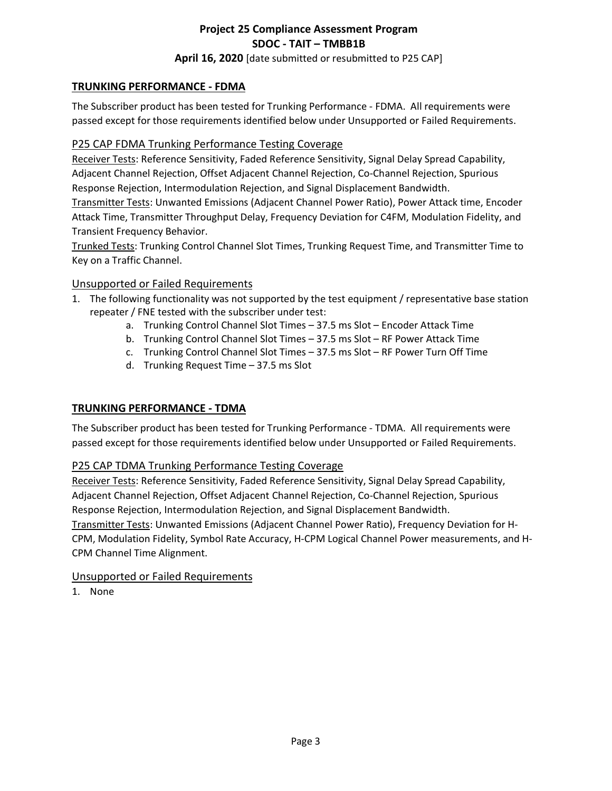**April 16, 2020** [date submitted or resubmitted to P25 CAP]

# **TRUNKING PERFORMANCE - FDMA**

The Subscriber product has been tested for Trunking Performance - FDMA. All requirements were passed except for those requirements identified below under Unsupported or Failed Requirements.

# P25 CAP FDMA Trunking Performance Testing Coverage

Receiver Tests: Reference Sensitivity, Faded Reference Sensitivity, Signal Delay Spread Capability, Adjacent Channel Rejection, Offset Adjacent Channel Rejection, Co-Channel Rejection, Spurious Response Rejection, Intermodulation Rejection, and Signal Displacement Bandwidth.

Transmitter Tests: Unwanted Emissions (Adjacent Channel Power Ratio), Power Attack time, Encoder Attack Time, Transmitter Throughput Delay, Frequency Deviation for C4FM, Modulation Fidelity, and Transient Frequency Behavior.

Trunked Tests: Trunking Control Channel Slot Times, Trunking Request Time, and Transmitter Time to Key on a Traffic Channel.

# Unsupported or Failed Requirements

- 1. The following functionality was not supported by the test equipment / representative base station repeater / FNE tested with the subscriber under test:
	- a. Trunking Control Channel Slot Times 37.5 ms Slot Encoder Attack Time
	- b. Trunking Control Channel Slot Times 37.5 ms Slot RF Power Attack Time
	- c. Trunking Control Channel Slot Times 37.5 ms Slot RF Power Turn Off Time
	- d. Trunking Request Time 37.5 ms Slot

# **TRUNKING PERFORMANCE - TDMA**

The Subscriber product has been tested for Trunking Performance - TDMA. All requirements were passed except for those requirements identified below under Unsupported or Failed Requirements.

# P25 CAP TDMA Trunking Performance Testing Coverage

Receiver Tests: Reference Sensitivity, Faded Reference Sensitivity, Signal Delay Spread Capability, Adjacent Channel Rejection, Offset Adjacent Channel Rejection, Co-Channel Rejection, Spurious Response Rejection, Intermodulation Rejection, and Signal Displacement Bandwidth.

Transmitter Tests: Unwanted Emissions (Adjacent Channel Power Ratio), Frequency Deviation for H-CPM, Modulation Fidelity, Symbol Rate Accuracy, H-CPM Logical Channel Power measurements, and H-CPM Channel Time Alignment.

# Unsupported or Failed Requirements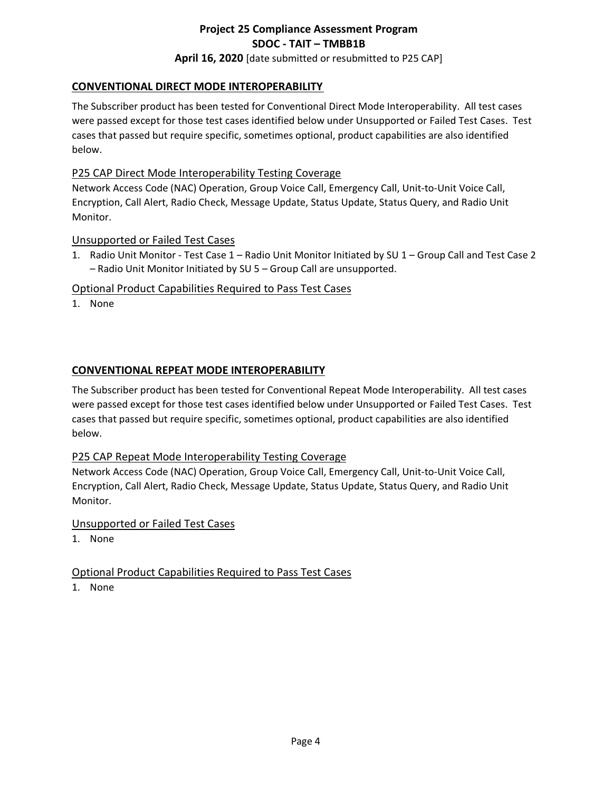**April 16, 2020** [date submitted or resubmitted to P25 CAP]

# **CONVENTIONAL DIRECT MODE INTEROPERABILITY**

The Subscriber product has been tested for Conventional Direct Mode Interoperability. All test cases were passed except for those test cases identified below under Unsupported or Failed Test Cases. Test cases that passed but require specific, sometimes optional, product capabilities are also identified below.

# P25 CAP Direct Mode Interoperability Testing Coverage

Network Access Code (NAC) Operation, Group Voice Call, Emergency Call, Unit-to-Unit Voice Call, Encryption, Call Alert, Radio Check, Message Update, Status Update, Status Query, and Radio Unit Monitor.

# Unsupported or Failed Test Cases

1. Radio Unit Monitor - Test Case 1 – Radio Unit Monitor Initiated by SU 1 – Group Call and Test Case 2 – Radio Unit Monitor Initiated by SU 5 – Group Call are unsupported.

# Optional Product Capabilities Required to Pass Test Cases

1. None

# **CONVENTIONAL REPEAT MODE INTEROPERABILITY**

The Subscriber product has been tested for Conventional Repeat Mode Interoperability. All test cases were passed except for those test cases identified below under Unsupported or Failed Test Cases. Test cases that passed but require specific, sometimes optional, product capabilities are also identified below.

# P25 CAP Repeat Mode Interoperability Testing Coverage

Network Access Code (NAC) Operation, Group Voice Call, Emergency Call, Unit-to-Unit Voice Call, Encryption, Call Alert, Radio Check, Message Update, Status Update, Status Query, and Radio Unit Monitor.

# Unsupported or Failed Test Cases

1. None

# Optional Product Capabilities Required to Pass Test Cases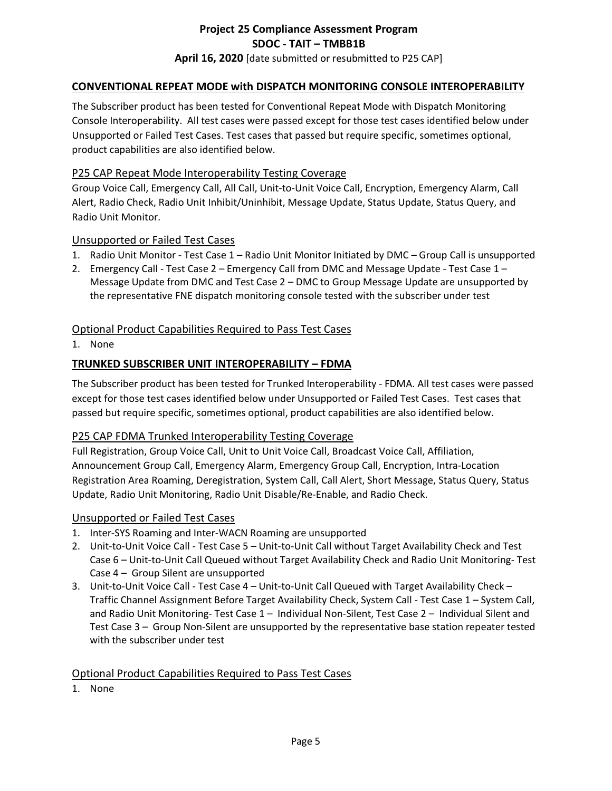**April 16, 2020** [date submitted or resubmitted to P25 CAP]

#### **CONVENTIONAL REPEAT MODE with DISPATCH MONITORING CONSOLE INTEROPERABILITY**

The Subscriber product has been tested for Conventional Repeat Mode with Dispatch Monitoring Console Interoperability. All test cases were passed except for those test cases identified below under Unsupported or Failed Test Cases. Test cases that passed but require specific, sometimes optional, product capabilities are also identified below.

#### P25 CAP Repeat Mode Interoperability Testing Coverage

Group Voice Call, Emergency Call, All Call, Unit-to-Unit Voice Call, Encryption, Emergency Alarm, Call Alert, Radio Check, Radio Unit Inhibit/Uninhibit, Message Update, Status Update, Status Query, and Radio Unit Monitor.

#### Unsupported or Failed Test Cases

- 1. Radio Unit Monitor Test Case 1 Radio Unit Monitor Initiated by DMC Group Call is unsupported
- 2. Emergency Call Test Case 2 Emergency Call from DMC and Message Update Test Case 1 Message Update from DMC and Test Case 2 – DMC to Group Message Update are unsupported by the representative FNE dispatch monitoring console tested with the subscriber under test

### Optional Product Capabilities Required to Pass Test Cases

1. None

### **TRUNKED SUBSCRIBER UNIT INTEROPERABILITY – FDMA**

The Subscriber product has been tested for Trunked Interoperability - FDMA. All test cases were passed except for those test cases identified below under Unsupported or Failed Test Cases. Test cases that passed but require specific, sometimes optional, product capabilities are also identified below.

#### P25 CAP FDMA Trunked Interoperability Testing Coverage

Full Registration, Group Voice Call, Unit to Unit Voice Call, Broadcast Voice Call, Affiliation, Announcement Group Call, Emergency Alarm, Emergency Group Call, Encryption, Intra-Location Registration Area Roaming, Deregistration, System Call, Call Alert, Short Message, Status Query, Status Update, Radio Unit Monitoring, Radio Unit Disable/Re-Enable, and Radio Check.

#### Unsupported or Failed Test Cases

- 1. Inter-SYS Roaming and Inter-WACN Roaming are unsupported
- 2. Unit-to-Unit Voice Call Test Case 5 Unit-to-Unit Call without Target Availability Check and Test Case 6 – Unit-to-Unit Call Queued without Target Availability Check and Radio Unit Monitoring- Test Case 4 – Group Silent are unsupported
- 3. Unit-to-Unit Voice Call Test Case 4 Unit-to-Unit Call Queued with Target Availability Check Traffic Channel Assignment Before Target Availability Check, System Call - Test Case 1 – System Call, and Radio Unit Monitoring- Test Case 1 – Individual Non-Silent, Test Case 2 – Individual Silent and Test Case 3 – Group Non-Silent are unsupported by the representative base station repeater tested with the subscriber under test

#### Optional Product Capabilities Required to Pass Test Cases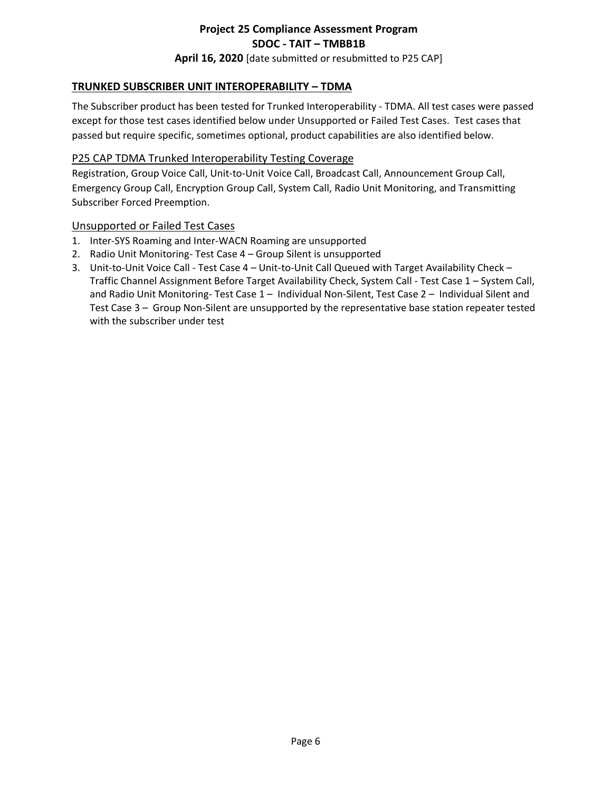# **Project 25 Compliance Assessment Program SDOC - TAIT – TMBB1B April 16, 2020** [date submitted or resubmitted to P25 CAP]

# **TRUNKED SUBSCRIBER UNIT INTEROPERABILITY – TDMA**

The Subscriber product has been tested for Trunked Interoperability - TDMA. All test cases were passed except for those test cases identified below under Unsupported or Failed Test Cases. Test cases that passed but require specific, sometimes optional, product capabilities are also identified below.

### P25 CAP TDMA Trunked Interoperability Testing Coverage

Registration, Group Voice Call, Unit-to-Unit Voice Call, Broadcast Call, Announcement Group Call, Emergency Group Call, Encryption Group Call, System Call, Radio Unit Monitoring, and Transmitting Subscriber Forced Preemption.

### Unsupported or Failed Test Cases

- 1. Inter-SYS Roaming and Inter-WACN Roaming are unsupported
- 2. Radio Unit Monitoring- Test Case 4 Group Silent is unsupported
- 3. Unit-to-Unit Voice Call Test Case 4 Unit-to-Unit Call Queued with Target Availability Check Traffic Channel Assignment Before Target Availability Check, System Call - Test Case 1 – System Call, and Radio Unit Monitoring- Test Case 1 – Individual Non-Silent, Test Case 2 – Individual Silent and Test Case 3 – Group Non-Silent are unsupported by the representative base station repeater tested with the subscriber under test